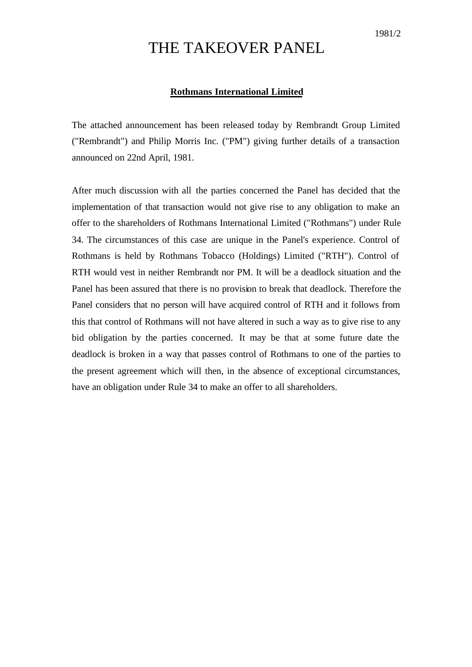## THE TAKEOVER PANEL

## **Rothmans International Limited**

The attached announcement has been released today by Rembrandt Group Limited ("Rembrandt") and Philip Morris Inc. ("PM") giving further details of a transaction announced on 22nd April, 1981.

After much discussion with all the parties concerned the Panel has decided that the implementation of that transaction would not give rise to any obligation to make an offer to the shareholders of Rothmans International Limited ("Rothmans") under Rule 34. The circumstances of this case are unique in the Panel's experience. Control of Rothmans is held by Rothmans Tobacco (Holdings) Limited ("RTH"). Control of RTH would vest in neither Rembrandt nor PM. It will be a deadlock situation and the Panel has been assured that there is no provision to break that deadlock. Therefore the Panel considers that no person will have acquired control of RTH and it follows from this that control of Rothmans will not have altered in such a way as to give rise to any bid obligation by the parties concerned. It may be that at some future date the deadlock is broken in a way that passes control of Rothmans to one of the parties to the present agreement which will then, in the absence of exceptional circumstances, have an obligation under Rule 34 to make an offer to all shareholders.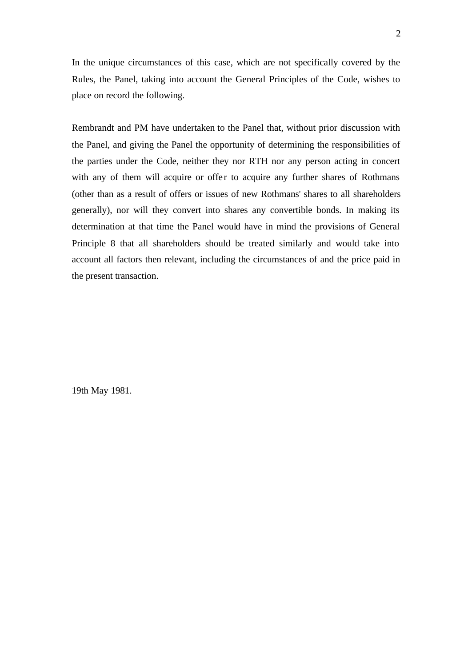In the unique circumstances of this case, which are not specifically covered by the Rules, the Panel, taking into account the General Principles of the Code, wishes to place on record the following.

Rembrandt and PM have undertaken to the Panel that, without prior discussion with the Panel, and giving the Panel the opportunity of determining the responsibilities of the parties under the Code, neither they nor RTH nor any person acting in concert with any of them will acquire or offer to acquire any further shares of Rothmans (other than as a result of offers or issues of new Rothmans' shares to all shareholders generally), nor will they convert into shares any convertible bonds. In making its determination at that time the Panel would have in mind the provisions of General Principle 8 that all shareholders should be treated similarly and would take into account all factors then relevant, including the circumstances of and the price paid in the present transaction.

19th May 1981.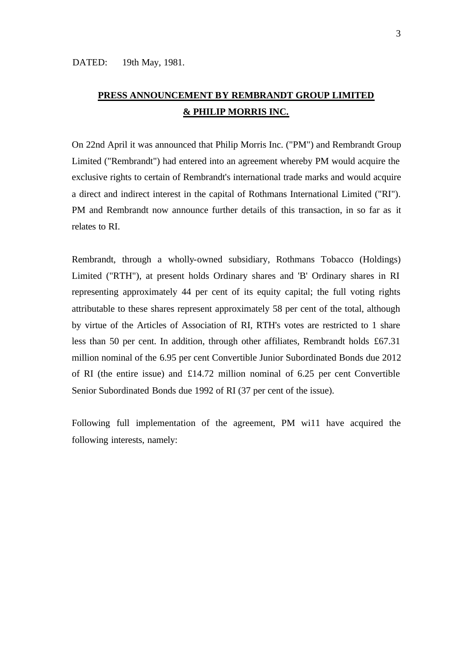## **PRESS ANNOUNCEMENT BY REMBRANDT GROUP LIMITED & PHILIP MORRIS INC.**

On 22nd April it was announced that Philip Morris Inc. ("PM") and Rembrandt Group Limited ("Rembrandt") had entered into an agreement whereby PM would acquire the exclusive rights to certain of Rembrandt's international trade marks and would acquire a direct and indirect interest in the capital of Rothmans International Limited ("RI"). PM and Rembrandt now announce further details of this transaction, in so far as it relates to RI.

Rembrandt, through a wholly-owned subsidiary, Rothmans Tobacco (Holdings) Limited ("RTH"), at present holds Ordinary shares and 'B' Ordinary shares in RI representing approximately 44 per cent of its equity capital; the full voting rights attributable to these shares represent approximately 58 per cent of the total, although by virtue of the Articles of Association of RI, RTH's votes are restricted to 1 share less than 50 per cent. In addition, through other affiliates, Rembrandt holds £67.31 million nominal of the 6.95 per cent Convertible Junior Subordinated Bonds due 2012 of RI (the entire issue) and £14.72 million nominal of 6.25 per cent Convertible Senior Subordinated Bonds due 1992 of RI (37 per cent of the issue).

Following full implementation of the agreement, PM wi11 have acquired the following interests, namely: